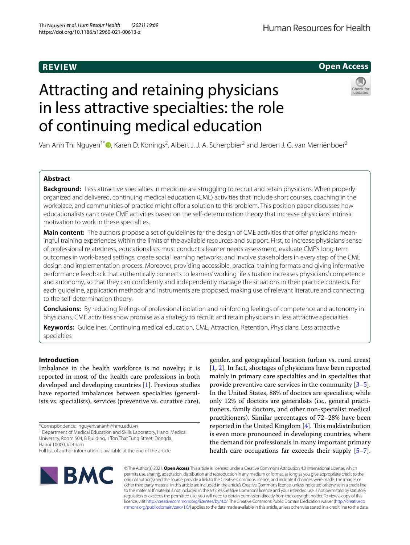# **REVIEW**

## **Open Access**

# Attracting and retaining physicians in less attractive specialties: the role of continuing medical education



Van Anh Thi Nguyen<sup>1[\\*](http://orcid.org/0000-0002-3673-7288)</sup>®, Karen D. Könings<sup>2</sup>, Albert J. J. A. Scherpbier<sup>2</sup> and Jeroen J. G. van Merriënboer<sup>2</sup>

## **Abstract**

**Background:** Less attractive specialties in medicine are struggling to recruit and retain physicians. When properly organized and delivered, continuing medical education (CME) activities that include short courses, coaching in the workplace, and communities of practice might offer a solution to this problem. This position paper discusses how educationalists can create CME activities based on the self-determination theory that increase physicians' intrinsic motivation to work in these specialties.

Main content: The authors propose a set of guidelines for the design of CME activities that offer physicians meaningful training experiences within the limits of the available resources and support. First, to increase physicians' sense of professional relatedness, educationalists must conduct a learner needs assessment, evaluate CME's long-term outcomes in work-based settings, create social learning networks, and involve stakeholders in every step of the CME design and implementation process. Moreover, providing accessible, practical training formats and giving informative performance feedback that authentically connects to learners' working life situation increases physicians' competence and autonomy, so that they can confdently and independently manage the situations in their practice contexts. For each guideline, application methods and instruments are proposed, making use of relevant literature and connecting to the self-determination theory.

**Conclusions:** By reducing feelings of professional isolation and reinforcing feelings of competence and autonomy in physicians, CME activities show promise as a strategy to recruit and retain physicians in less attractive specialties.

**Keywords:** Guidelines, Continuing medical education, CME, Attraction, Retention, Physicians, Less attractive specialties

## **Introduction**

Imbalance in the health workforce is no novelty; it is reported in most of the health care professions in both developed and developing countries [[1\]](#page-7-0). Previous studies have reported imbalances between specialties (generalists vs. specialists), services (preventive vs. curative care),

\*Correspondence: nguyenvananh@hmu.edu.vn

<sup>1</sup> Department of Medical Education and Skills Laboratory, Hanoi Medical University, Room 504, B Building, 1 Ton That Tung Street, Dongda, Hanoi 10000, Vietnam

gender, and geographical location (urban vs. rural areas) [[1,](#page-7-0) [2\]](#page-7-1). In fact, shortages of physicians have been reported mainly in primary care specialties and in specialties that provide preventive care services in the community  $[3-5]$  $[3-5]$ . In the United States, 88% of doctors are specialists, while only 12% of doctors are generalists (i.e., general practitioners, family doctors, and other non-specialist medical practitioners). Similar percentages of 72–28% have been reported in the United Kingdom  $[4]$  $[4]$  $[4]$ . This maldistribution is even more pronounced in developing countries, where the demand for professionals in many important primary health care occupations far exceeds their supply [\[5](#page-7-3)[–7](#page-8-0)].



© The Author(s) 2021. **Open Access** This article is licensed under a Creative Commons Attribution 4.0 International License, which permits use, sharing, adaptation, distribution and reproduction in any medium or format, as long as you give appropriate credit to the original author(s) and the source, provide a link to the Creative Commons licence, and indicate if changes were made. The images or other third party material in this article are included in the article's Creative Commons licence, unless indicated otherwise in a credit line to the material. If material is not included in the article's Creative Commons licence and your intended use is not permitted by statutory regulation or exceeds the permitted use, you will need to obtain permission directly from the copyright holder. To view a copy of this licence, visit [http://creativecommons.org/licenses/by/4.0/.](http://creativecommons.org/licenses/by/4.0/) The Creative Commons Public Domain Dedication waiver ([http://creativeco](http://creativecommons.org/publicdomain/zero/1.0/) [mmons.org/publicdomain/zero/1.0/](http://creativecommons.org/publicdomain/zero/1.0/)) applies to the data made available in this article, unless otherwise stated in a credit line to the data.

Full list of author information is available at the end of the article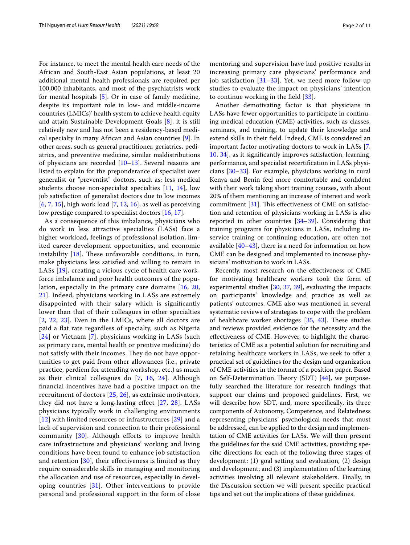For instance, to meet the mental health care needs of the African and South-East Asian populations, at least 20 additional mental health professionals are required per 100,000 inhabitants, and most of the psychiatrists work for mental hospitals [[5\]](#page-7-3). Or in case of family medicine, despite its important role in low- and middle-income countries (LMICs)' health system to achieve health equity and attain Sustainable Development Goals [\[8\]](#page-8-1), it is still relatively new and has not been a residency-based medical specialty in many African and Asian countries [[9](#page-8-2)]. In other areas, such as general practitioner, geriatrics, pediatrics, and preventive medicine, similar maldistributions of physicians are recorded [[10–](#page-8-3)[13](#page-8-4)]. Several reasons are listed to explain for the preponderance of specialist over generalist or "preventist" doctors, such as: less medical students choose non-specialist specialties [[11,](#page-8-5) [14](#page-8-6)], low job satisfaction of generalist doctors due to low incomes [[6,](#page-7-5) [7,](#page-8-0) [15](#page-8-7)], high work load  $[7, 12, 16]$  $[7, 12, 16]$  $[7, 12, 16]$  $[7, 12, 16]$  $[7, 12, 16]$ , as well as perceiving low prestige compared to specialist doctors [[16](#page-8-9), [17\]](#page-8-10).

As a consequence of this imbalance, physicians who do work in less attractive specialties (LASs) face a higher workload, feelings of professional isolation, limited career development opportunities, and economic instability  $[18]$  $[18]$ . These unfavorable conditions, in turn, make physicians less satisfed and willing to remain in LASs [\[19](#page-8-12)], creating a vicious cycle of health care workforce imbalance and poor health outcomes of the population, especially in the primary care domains [\[16](#page-8-9), [20](#page-8-13), [21\]](#page-8-14). Indeed, physicians working in LASs are extremely disappointed with their salary which is signifcantly lower than that of their colleagues in other specialties [[2](#page-7-1), [22,](#page-8-15) [23](#page-8-16)]. Even in the LMICs, where all doctors are paid a fat rate regardless of specialty, such as Nigeria [[24](#page-8-17)] or Vietnam [[7\]](#page-8-0), physicians working in LASs (such as primary care, mental health or prentive medicine) do not satisfy with their incomes. They do not have opportunities to get paid from other allowances (i.e., private practice, perdiem for attending workshop, etc.) as much as their clinical colleagues do [\[7](#page-8-0), [16](#page-8-9), [24\]](#page-8-17). Although fnancial incentives have had a positive impact on the recruitment of doctors [[25,](#page-8-18) [26\]](#page-8-19), as extrinsic motivators, they did not have a long-lasting effect  $[27, 28]$  $[27, 28]$  $[27, 28]$  $[27, 28]$ . LASs physicians typically work in challenging environments [[12](#page-8-8)] with limited resources or infrastructures [\[29](#page-8-22)] and a lack of supervision and connection to their professional community  $[30]$  $[30]$ . Although efforts to improve health care infrastructure and physicians' working and living conditions have been found to enhance job satisfaction and retention [\[30](#page-8-23)], their efectiveness is limited as they require considerable skills in managing and monitoring the allocation and use of resources, especially in developing countries [\[31](#page-8-24)]. Other interventions to provide personal and professional support in the form of close mentoring and supervision have had positive results in increasing primary care physicians' performance and job satisfaction  $[31-33]$  $[31-33]$  $[31-33]$ . Yet, we need more follow-up studies to evaluate the impact on physicians' intention to continue working in the feld [[33\]](#page-8-25).

Another demotivating factor is that physicians in LASs have fewer opportunities to participate in continuing medical education (CME) activities, such as classes, seminars, and training, to update their knowledge and extend skills in their feld. Indeed, CME is considered an important factor motivating doctors to work in LASs [\[7](#page-8-0), [10,](#page-8-3) [34\]](#page-8-26), as it signifcantly improves satisfaction, learning, performance, and specialist recertifcation in LASs physicians [\[30](#page-8-23)[–33\]](#page-8-25). For example, physicians working in rural Kenya and Benin feel more comfortable and confdent with their work taking short training courses, with about 20% of them mentioning an increase of interest and work commitment  $[31]$  $[31]$ . This effectiveness of CME on satisfaction and retention of physicians working in LASs is also reported in other countries [\[34](#page-8-26)[–39](#page-8-27)]. Considering that training programs for physicians in LASs, including inservice training or continuing education, are often not available  $[40-43]$  $[40-43]$  $[40-43]$ , there is a need for information on how CME can be designed and implemented to increase physicians' motivation to work in LASs.

Recently, most research on the efectiveness of CME for motivating healthcare workers took the form of experimental studies [\[30](#page-8-23), [37](#page-8-30), [39\]](#page-8-27), evaluating the impacts on participants' knowledge and practice as well as patients' outcomes. CME also was mentioned in several systematic reviews of strategies to cope with the problem of healthcare worker shortages  $[35, 43]$  $[35, 43]$  $[35, 43]$ . These studies and reviews provided evidence for the necessity and the efectiveness of CME. However, to highlight the characteristics of CME as a potential solution for recruiting and retaining healthcare workers in LASs, we seek to offer a practical set of guidelines for the design and organization of CME activities in the format of a position paper. Based on Self-Determination Theory (SDT) [\[44](#page-8-32)], we purposefully searched the literature for research fndings that support our claims and proposed guidelines. First, we will describe how SDT, and, more specifcally, its three components of Autonomy, Competence, and Relatedness representing physicians' psychological needs that must be addressed, can be applied to the design and implementation of CME activities for LASs. We will then present the guidelines for the said CME activities, providing specifc directions for each of the following three stages of development: (1) goal setting and evaluation, (2) design and development, and (3) implementation of the learning activities involving all relevant stakeholders. Finally, in the Discussion section we will present specifc practical tips and set out the implications of these guidelines.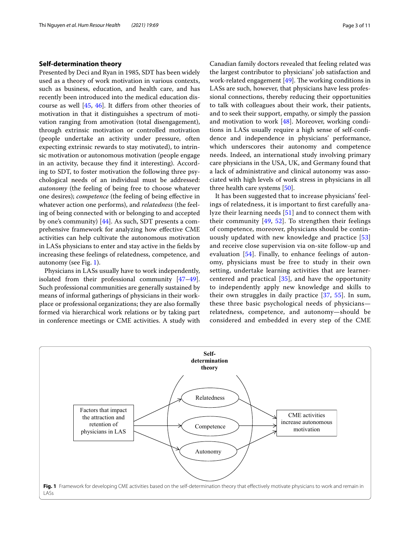## **Self‑determination theory**

Presented by Deci and Ryan in 1985, SDT has been widely used as a theory of work motivation in various contexts, such as business, education, and health care, and has recently been introduced into the medical education discourse as well [[45](#page-8-33), [46](#page-8-34)]. It difers from other theories of motivation in that it distinguishes a spectrum of motivation ranging from amotivation (total disengagement), through extrinsic motivation or controlled motivation (people undertake an activity under pressure, often expecting extrinsic rewards to stay motivated), to intrinsic motivation or autonomous motivation (people engage in an activity, because they fnd it interesting). According to SDT, to foster motivation the following three psychological needs of an individual must be addressed: *autonomy* (the feeling of being free to choose whatever one desires); *competence* (the feeling of being efective in whatever action one performs), and *relatedness* (the feeling of being connected with or belonging to and accepted by one's community) [\[44](#page-8-32)]. As such, SDT presents a comprehensive framework for analyzing how efective CME activities can help cultivate the autonomous motivation in LASs physicians to enter and stay active in the felds by increasing these feelings of relatedness, competence, and autonomy (see Fig. [1\)](#page-2-0).

Physicians in LASs usually have to work independently, isolated from their professional community [[47](#page-8-35)[–49](#page-8-36)]. Such professional communities are generally sustained by means of informal gatherings of physicians in their workplace or professional organizations; they are also formally formed via hierarchical work relations or by taking part in conference meetings or CME activities. A study with

Canadian family doctors revealed that feeling related was the largest contributor to physicians' job satisfaction and work-related engagement  $[49]$ . The working conditions in LASs are such, however, that physicians have less professional connections, thereby reducing their opportunities to talk with colleagues about their work, their patients, and to seek their support, empathy, or simply the passion and motivation to work [[48\]](#page-8-37). Moreover, working conditions in LASs usually require a high sense of self-confdence and independence in physicians' performance, which underscores their autonomy and competence needs. Indeed, an international study involving primary care physicians in the USA, UK, and Germany found that a lack of administrative and clinical autonomy was associated with high levels of work stress in physicians in all three health care systems [\[50\]](#page-8-38).

It has been suggested that to increase physicians' feelings of relatedness, it is important to frst carefully analyze their learning needs [[51](#page-9-0)] and to connect them with their community  $[49, 52]$  $[49, 52]$  $[49, 52]$  $[49, 52]$ . To strengthen their feelings of competence, moreover, physicians should be continuously updated with new knowledge and practice [\[53](#page-9-2)] and receive close supervision via on-site follow-up and evaluation [[54](#page-9-3)]. Finally, to enhance feelings of autonomy, physicians must be free to study in their own setting, undertake learning activities that are learnercentered and practical [\[35\]](#page-8-31), and have the opportunity to independently apply new knowledge and skills to their own struggles in daily practice [[37,](#page-8-30) [55](#page-9-4)]. In sum, these three basic psychological needs of physicians relatedness, competence, and autonomy—should be considered and embedded in every step of the CME

<span id="page-2-0"></span>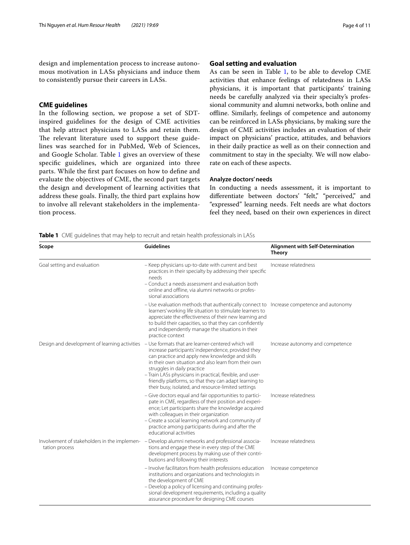design and implementation process to increase autonomous motivation in LASs physicians and induce them to consistently pursue their careers in LASs.

## **CME guidelines**

In the following section, we propose a set of SDTinspired guidelines for the design of CME activities that help attract physicians to LASs and retain them. The relevant literature used to support these guidelines was searched for in PubMed, Web of Sciences, and Google Scholar. Table [1](#page-3-0) gives an overview of these specifc guidelines, which are organized into three parts. While the frst part focuses on how to defne and evaluate the objectives of CME, the second part targets the design and development of learning activities that address these goals. Finally, the third part explains how to involve all relevant stakeholders in the implementation process.

## **Goal setting and evaluation**

As can be seen in Table [1,](#page-3-0) to be able to develop CME activities that enhance feelings of relatedness in LASs physicians, it is important that participants' training needs be carefully analyzed via their specialty's professional community and alumni networks, both online and ofine. Similarly, feelings of competence and autonomy can be reinforced in LASs physicians, by making sure the design of CME activities includes an evaluation of their impact on physicians' practice, attitudes, and behaviors in their daily practice as well as on their connection and commitment to stay in the specialty. We will now elaborate on each of these aspects.

## **Analyze doctors' needs**

In conducting a needs assessment, it is important to differentiate between doctors' "felt," "perceived," and "expressed" learning needs. Felt needs are what doctors feel they need, based on their own experiences in direct

<span id="page-3-0"></span>**Table 1** CME guidelines that may help to recruit and retain health professionals in LASs

| Scope                                                          | <b>Guidelines</b>                                                                                                                                                                                                                                                                                                                                                                                                                | <b>Alignment with Self-Determination</b><br><b>Theory</b> |
|----------------------------------------------------------------|----------------------------------------------------------------------------------------------------------------------------------------------------------------------------------------------------------------------------------------------------------------------------------------------------------------------------------------------------------------------------------------------------------------------------------|-----------------------------------------------------------|
| Goal setting and evaluation                                    | - Keep physicians up-to-date with current and best<br>practices in their specialty by addressing their specific<br>needs<br>- Conduct a needs assessment and evaluation both<br>online and offline, via alumni networks or profes-<br>sional associations                                                                                                                                                                        | Increase relatedness                                      |
|                                                                | - Use evaluation methods that authentically connect to Increase competence and autonomy<br>learners' working life situation to stimulate learners to<br>appreciate the effectiveness of their new learning and<br>to build their capacities, so that they can confidently<br>and independently manage the situations in their<br>practice context                                                                                |                                                           |
| Design and development of learning activities                  | - Use formats that are learner-centered which will<br>increase participants' independence, provided they<br>can practice and apply new knowledge and skills<br>in their own situation and also learn from their own<br>struggles in daily practice<br>- Train LASs physicians in practical, flexible, and user-<br>friendly platforms, so that they can adapt learning to<br>their busy, isolated, and resource-limited settings | Increase autonomy and competence                          |
|                                                                | - Give doctors equal and fair opportunities to partici-<br>pate in CME, regardless of their position and experi-<br>ence; Let participants share the knowledge acquired<br>with colleagues in their organization<br>- Create a social learning network and community of<br>practice among participants during and after the<br>educational activities                                                                            | Increase relatedness                                      |
| Involvement of stakeholders in the implemen-<br>tation process | Develop alumni networks and professional associa-<br>tions and engage these in every step of the CME<br>development process by making use of their contri-<br>butions and following their interests                                                                                                                                                                                                                              | Increase relatedness                                      |
|                                                                | - Involve facilitators from health professions education<br>institutions and organizations and technologists in<br>the development of CME<br>- Develop a policy of licensing and continuing profes-<br>sional development requirements, including a quality<br>assurance procedure for designing CME courses                                                                                                                     | Increase competence                                       |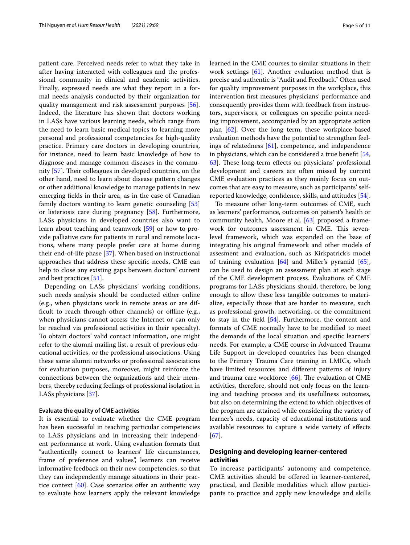patient care. Perceived needs refer to what they take in after having interacted with colleagues and the professional community in clinical and academic activities. Finally, expressed needs are what they report in a formal needs analysis conducted by their organization for quality management and risk assessment purposes [\[56](#page-9-5)]. Indeed, the literature has shown that doctors working in LASs have various learning needs, which range from the need to learn basic medical topics to learning more personal and professional competencies for high-quality practice. Primary care doctors in developing countries, for instance, need to learn basic knowledge of how to diagnose and manage common diseases in the community  $[57]$  $[57]$ . Their colleagues in developed countries, on the other hand, need to learn about disease pattern changes or other additional knowledge to manage patients in new emerging felds in their area, as in the case of Canadian family doctors wanting to learn genetic counseling [[53](#page-9-2)] or listeriosis care during pregnancy [\[58](#page-9-7)]. Furthermore, LASs physicians in developed countries also want to learn about teaching and teamwork [[59\]](#page-9-8) or how to provide palliative care for patients in rural and remote locations, where many people prefer care at home during their end-of-life phase [\[37](#page-8-30)]. When based on instructional approaches that address these specifc needs, CME can help to close any existing gaps between doctors' current and best practices [\[51](#page-9-0)].

Depending on LASs physicians' working conditions, such needs analysis should be conducted either online (e.g., when physicians work in remote areas or are difficult to reach through other channels) or offline (e.g., when physicians cannot access the Internet or can only be reached via professional activities in their specialty). To obtain doctors' valid contact information, one might refer to the alumni mailing list, a result of previous educational activities, or the professional associations. Using these same alumni networks or professional associations for evaluation purposes, moreover, might reinforce the connections between the organizations and their members, thereby reducing feelings of professional isolation in LASs physicians [[37\]](#page-8-30).

## **Evaluate the quality of CME activities**

It is essential to evaluate whether the CME program has been successful in teaching particular competencies to LASs physicians and in increasing their independent performance at work. Using evaluation formats that "authentically connect to learners' life circumstances, frame of preference and values", learners can receive informative feedback on their new competencies, so that they can independently manage situations in their practice context  $[60]$  $[60]$ . Case scenarios offer an authentic way to evaluate how learners apply the relevant knowledge learned in the CME courses to similar situations in their work settings [\[61\]](#page-9-10). Another evaluation method that is precise and authentic is "Audit and Feedback." Often used for quality improvement purposes in the workplace, this intervention frst measures physicians' performance and consequently provides them with feedback from instructors, supervisors, or colleagues on specifc points needing improvement, accompanied by an appropriate action plan [[62](#page-9-11)]. Over the long term, these workplace-based evaluation methods have the potential to strengthen feelings of relatedness [[61\]](#page-9-10), competence, and independence in physicians, which can be considered a true beneft [[54](#page-9-3), 63. These long-term effects on physicians' professional development and careers are often missed by current CME evaluation practices as they mainly focus on outcomes that are easy to measure, such as participants' selfreported knowledge, confdence, skills, and attitudes [\[54](#page-9-3)].

To measure other long-term outcomes of CME, such as learners' performance, outcomes on patient's health or community health, Moore et al. [[63\]](#page-9-12) proposed a framework for outcomes assessment in CME. This sevenlevel framework, which was expanded on the base of integrating his original framework and other models of assesment and evaluation, such as Kirkpatrick's model of training evaluation [\[64](#page-9-13)] and Miller's pyramid [\[65](#page-9-14)], can be used to design an assessment plan at each stage of the CME development process. Evaluations of CME programs for LASs physicians should, therefore, be long enough to allow these less tangible outcomes to materialize, especially those that are harder to measure, such as professional growth, networking, or the commitment to stay in the feld [\[54](#page-9-3)]. Furthermore, the content and formats of CME normally have to be modifed to meet the demands of the local situation and specifc learners' needs. For example, a CME course in Advanced Trauma Life Support in developed countries has been changed to the Primary Trauma Care training in LMICs, which have limited resources and diferent patterns of injury and trauma care workforce  $[66]$  $[66]$ . The evaluation of CME activities, therefore, should not only focus on the learning and teaching process and its usefullness outcomes, but also on determining the extend to which objectives of the program are attained while considering the variety of learner's needs, capacity of educational institutions and available resources to capture a wide variety of efects [[67\]](#page-9-16).

## **Designing and developing learner‑centered activities**

To increase participants' autonomy and competence, CME activities should be offered in learner-centered, practical, and flexible modalities which allow participants to practice and apply new knowledge and skills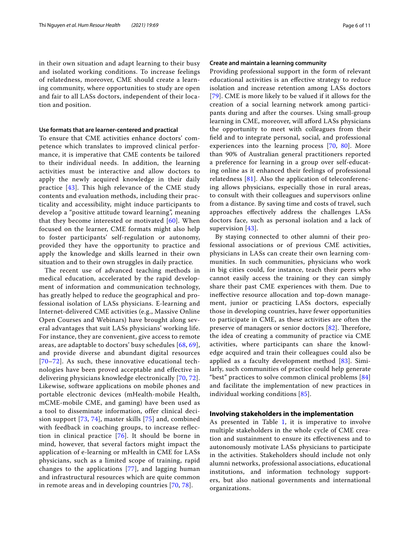in their own situation and adapt learning to their busy and isolated working conditions. To increase feelings of relatedness, moreover, CME should create a learning community, where opportunities to study are open and fair to all LASs doctors, independent of their location and position.

#### **Use formats that are learner-centered and practical**

To ensure that CME activities enhance doctors' competence which translates to improved clinical performance, it is imperative that CME contents be tailored to their individual needs. In addition, the learning activities must be interactive and allow doctors to apply the newly acquired knowledge in their daily practice [[43\]](#page-8-29). This high relevance of the CME study contents and evaluation methods, including their practicality and accessibility, might induce participants to develop a "positive attitude toward learning", meaning that they become interested or motivated [[60](#page-9-9)]. When focused on the learner, CME formats might also help to foster participants' self-regulation or autonomy, provided they have the opportunity to practice and apply the knowledge and skills learned in their own situation and to their own struggles in daily practice*.*

The recent use of advanced teaching methods in medical education, accelerated by the rapid development of information and communication technology, has greatly helped to reduce the geographical and professional isolation of LASs physicians. E-learning and Internet-delivered CME activities (e.g., Massive Online Open Courses and Webinars) have brought along several advantages that suit LASs physicians' working life. For instance, they are convenient, give access to remote areas, are adaptable to doctors' busy schedules [[68,](#page-9-17) [69\]](#page-9-18), and provide diverse and abundant digital resources [[70](#page-9-19)[–72\]](#page-9-20). As such, these innovative educational technologies have been proved acceptable and effective in delivering physicians knowledge electronically [[70,](#page-9-19) [72\]](#page-9-20). Likewise, software applications on mobile phones and portable electronic devices (mHealth-mobile Health, mCME-mobile CME, and gaming) have been used as a tool to disseminate information, offer clinical decision support [[73](#page-9-21), [74\]](#page-9-22), master skills [[75](#page-9-23)] and, combined with feedback in coaching groups, to increase reflection in clinical practice [[76\]](#page-9-24). It should be borne in mind, however, that several factors might impact the application of e-learning or mHealth in CME for LASs physicians, such as a limited scope of training, rapid changes to the applications [\[77\]](#page-9-25), and lagging human and infrastructural resources which are quite common in remote areas and in developing countries [\[70,](#page-9-19) [78\]](#page-9-26).

#### **Create and maintain a learning community**

Providing professional support in the form of relevant educational activities is an efective strategy to reduce isolation and increase retention among LASs doctors [[79](#page-9-27)]. CME is more likely to be valued if it allows for the creation of a social learning network among participants during and after the courses. Using small-group learning in CME, moreover, will aford LASs physicians the opportunity to meet with colleagues from their feld and to integrate personal, social, and professional experiences into the learning process [[70](#page-9-19), [80](#page-9-28)]. More than 90% of Australian general practitioners reported a preference for learning in a group over self-educating online as it enhanced their feelings of professional relatedness  $[81]$ . Also the application of teleconferencing allows physicians, especially those in rural areas, to consult with their colleagues and supervisors online from a distance. By saving time and costs of travel, such approaches efectively address the challenges LASs doctors face, such as personal isolation and a lack of supervision [\[43\]](#page-8-29).

By staying connected to other alumni of their professional associations or of previous CME activities, physicians in LASs can create their own learning communities. In such communities, physicians who work in big cities could, for instance, teach their peers who cannot easily access the training or they can simply share their past CME experiences with them. Due to inefective resource allocation and top-down management, junior or practicing LASs doctors, especially those in developing countries, have fewer opportunities to participate in CME, as these activities are often the preserve of managers or senior doctors  $[82]$  $[82]$  $[82]$ . Therefore, the idea of creating a community of practice via CME activities, where participants can share the knowledge acquired and train their colleagues could also be applied as a faculty development method [[83\]](#page-9-31). Similarly, such communities of practice could help generate "best" practices to solve common clinical problems [\[84](#page-9-32)] and facilitate the implementation of new practices in individual working conditions [[85\]](#page-9-33).

#### **Involving stakeholders in the implementation**

As presented in Table  $1$ , it is imperative to involve multiple stakeholders in the whole cycle of CME creation and sustainment to ensure its efectiveness and to autonomously motivate LASs physicians to participate in the activities. Stakeholders should include not only alumni networks, professional associations, educational institutions, and information technology supporters, but also national governments and international organizations.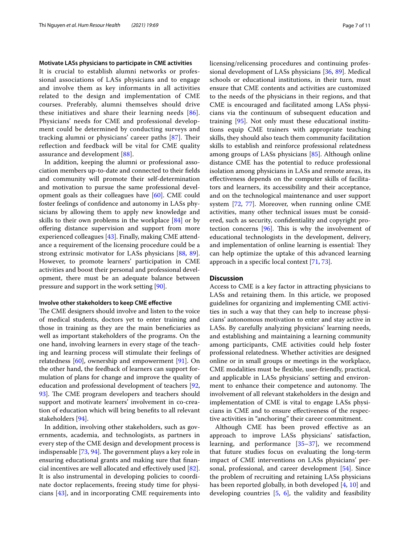#### **Motivate LASs physicians to participate in CME activities**

It is crucial to establish alumni networks or professional associations of LASs physicians and to engage and involve them as key informants in all activities related to the design and implementation of CME courses. Preferably, alumni themselves should drive these initiatives and share their learning needs [[86\]](#page-9-34). Physicians' needs for CME and professional development could be determined by conducting surveys and tracking alumni or physicians' career paths [[87](#page-9-35)]. Their refection and feedback will be vital for CME quality assurance and development [[88\]](#page-9-36).

In addition, keeping the alumni or professional association members up-to-date and connected to their felds and community will promote their self-determination and motivation to pursue the same professional development goals as their colleagues have [[60](#page-9-9)]. CME could foster feelings of confdence and autonomy in LASs physicians by allowing them to apply new knowledge and skills to their own problems in the workplace [[84](#page-9-32)] or by ofering distance supervision and support from more experienced colleagues [[43\]](#page-8-29). Finally, making CME attendance a requirement of the licensing procedure could be a strong extrinsic motivator for LASs physicians [[88](#page-9-36), [89](#page-9-37)]. However, to promote learners' participation in CME activities and boost their personal and professional development, there must be an adequate balance between pressure and support in the work setting [\[90](#page-9-38)].

#### **Involve other stakeholders to keep CME efective**

The CME designers should involve and listen to the voice of medical students, doctors yet to enter training and those in training as they are the main benefciaries as well as important stakeholders of the programs. On the one hand, involving learners in every stage of the teaching and learning process will stimulate their feelings of relatedness [[60\]](#page-9-9), ownership and empowerment [[91\]](#page-9-39). On the other hand, the feedback of learners can support formulation of plans for change and improve the quality of education and professional development of teachers [\[92](#page-9-40), [93\]](#page-9-41). The CME program developers and teachers should support and motivate learners' involvement in co-creation of education which will bring benefts to all relevant stakeholders [\[94](#page-10-0)].

In addition, involving other stakeholders, such as governments, academia, and technologists, as partners in every step of the CME design and development process is indispensable  $[73, 94]$  $[73, 94]$  $[73, 94]$  $[73, 94]$ . The government plays a key role in ensuring educational grants and making sure that fnancial incentives are well allocated and efectively used [\[82](#page-9-30)]. It is also instrumental in developing policies to coordinate doctor replacements, freeing study time for physicians [[43\]](#page-8-29), and in incorporating CME requirements into licensing/relicensing procedures and continuing professional development of LASs physicians [\[36](#page-8-39), [89](#page-9-37)]. Medical schools or educational institutions, in their turn, must ensure that CME contents and activities are customized to the needs of the physicians in their regions, and that CME is encouraged and facilitated among LASs physicians via the continuum of subsequent education and training [[95](#page-10-1)]. Not only must these educational institutions equip CME trainers with appropriate teaching skills, they should also teach them community facilitation skills to establish and reinforce professional relatedness among groups of LASs physicians [\[85](#page-9-33)]. Although online distance CME has the potential to reduce professional isolation among physicians in LASs and remote areas, its efectiveness depends on the computer skills of facilitators and learners, its accessibility and their acceptance, and on the technological maintenance and user support system [\[72](#page-9-20), [77\]](#page-9-25). Moreover, when running online CME activities, many other technical issues must be considered, such as security, confdentiality and copyright protection concerns  $[96]$  $[96]$ . This is why the involvement of educational technologists in the development, delivery, and implementation of online learning is essential: They can help optimize the uptake of this advanced learning approach in a specifc local context [[71,](#page-9-42) [73](#page-9-21)].

## **Discussion**

Access to CME is a key factor in attracting physicians to LASs and retaining them. In this article, we proposed guidelines for organizing and implementing CME activities in such a way that they can help to increase physicians' autonomous motivation to enter and stay active in LASs. By carefully analyzing physicians' learning needs, and establishing and maintaining a learning community among participants, CME activities could help foster professional relatedness. Whether activities are designed online or in small groups or meetings in the workplace, CME modalities must be fexible, user-friendly, practical, and applicable in LASs physicians' setting and environment to enhance their competence and autonomy. The involvement of all relevant stakeholders in the design and implementation of CME is vital to engage LASs physicians in CME and to ensure efectiveness of the respective activities in "anchoring" their career commitment.

Although CME has been proved effective as an approach to improve LASs physicians' satisfaction, learning, and performance [[35–](#page-8-31)[37](#page-8-30)], we recommend that future studies focus on evaluating the long-term impact of CME interventions on LASs physicians' personal, professional, and career development [\[54](#page-9-3)]. Since the problem of recruiting and retaining LASs physicians has been reported globally, in both developed [[4,](#page-7-4) [10\]](#page-8-3) and developing countries [\[5](#page-7-3), [6\]](#page-7-5), the validity and feasibility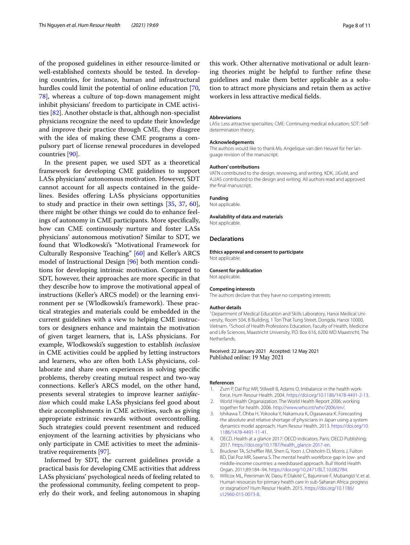of the proposed guidelines in either resource-limited or well-established contexts should be tested. In developing countries, for instance, human and infrastructural hurdles could limit the potential of online education [\[70](#page-9-19), [78\]](#page-9-26), whereas a culture of top-down management might inhibit physicians' freedom to participate in CME activities [\[82](#page-9-30)]. Another obstacle is that, although non-specialist physicians recognize the need to update their knowledge and improve their practice through CME, they disagree with the idea of making these CME programs a compulsory part of license renewal procedures in developed countries [\[90](#page-9-38)].

In the present paper, we used SDT as a theoretical framework for developing CME guidelines to support LASs physicians' autonomous motivation. However, SDT cannot account for all aspects contained in the guidelines. Besides offering LASs physicians opportunities to study and practice in their own settings [[35,](#page-8-31) [37](#page-8-30), [60](#page-9-9)], there might be other things we could do to enhance feelings of autonomy in CME participants. More specifcally, how can CME continuously nurture and foster LASs physicians' autonomous motivation? Similar to SDT, we found that Wlodkowski's "Motivational Framework for Culturally Responsive Teaching" [[60\]](#page-9-9) and Keller's ARCS model of Instructional Design [[96\]](#page-10-2) both mention conditions for developing intrinsic motivation. Compared to SDT, however, their approaches are more specifc in that they describe how to improve the motivational appeal of instructions (Keller's ARCS model) or the learning environment per se (Wlodkowski's framework). These practical strategies and materials could be embedded in the current guidelines with a view to helping CME instructors or designers enhance and maintain the motivation of given target learners, that is, LASs physicians. For example, Wlodkowski's suggestion to establish *inclusion* in CME activities could be applied by letting instructors and learners, who are often both LASs physicians, collaborate and share own experiences in solving specifc problems, thereby creating mutual respect and two-way connections. Keller's ARCS model, on the other hand, presents several strategies to improve learner *satisfaction* which could make LASs physicians feel good about their accomplishments in CME activities, such as giving appropriate extrinsic rewards without overcontrolling. Such strategies could prevent resentment and reduced enjoyment of the learning activities by physicians who only participate in CME activities to meet the administrative requirements [[97](#page-10-3)].

Informed by SDT, the current guidelines provide a practical basis for developing CME activities that address LASs physicians' psychological needs of feeling related to the professional community, feeling competent to properly do their work, and feeling autonomous in shaping

this work. Other alternative motivational or adult learning theories might be helpful to further refne these guidelines and make them better applicable as a solution to attract more physicians and retain them as active workers in less attractive medical felds.

#### **Abbreviations**

LASs: Less attractive specialties; CME: Continuing medical education; SDT: Selfdetermination theory.

#### **Acknowledgements**

The authors would like to thank Ms. Angelique van den Heuvel for her language revision of the manuscript.

#### **Authors' contributions**

VATN contributed to the design, reviewing, and writing. KDK, JJGvM, and AJJAS contributed to the design and writing. All authors read and approved the fnal manuscript.

## **Funding**

Not applicable.

#### **Availability of data and materials**

Not applicable.

#### **Declarations**

**Ethics approval and consent to participate** Not applicable.

#### **Consent for publication**

Not applicable.

#### **Competing interests**

The authors declare that they have no competing interests.

#### **Author details**

<sup>1</sup> Department of Medical Education and Skills Laboratory, Hanoi Medical University, Room 504, B Building, 1 Ton That Tung Street, Dongda, Hanoi 10000, Vietnam. <sup>2</sup> School of Health Professions Education, Faculty of Health, Medicine and Life Sciences, Maastricht University, P.O. Box 616, 6200 MD Maastricht, The Netherlands.

#### Received: 22 January 2021 Accepted: 12 May 2021 Published online: 19 May 2021

#### **References**

- <span id="page-7-0"></span>1. Zurn P, Dal Poz MR, Stilwell B, Adams O. Imbalance in the health workforce. Hum Resour Health. 2004.<https://doi.org/10.1186/1478-4491-2-13>.
- <span id="page-7-1"></span>2. World Health Organaization. The World Health Report 2006: working together for health. 2006. [http://www.who.int/whr/2006/en/.](http://www.who.int/whr/2006/en/)
- <span id="page-7-2"></span>3. Ishikawa T, Ohba H, Yokooka Y, Nakamura K, Ogasawara K. Forecasting the absolute and relative shortage of physicians in Japan using a system dynamics model approach. Hum Resour Health. 2013. [https://doi.org/10.](https://doi.org/10.1186/1478-4491-11-41) [1186/1478-4491-11-41.](https://doi.org/10.1186/1478-4491-11-41)
- <span id="page-7-4"></span>4. OECD. Health at a glance 2017: OECD indicators. Paris: OECD Publishing; 2017. [https://doi.org/10.1787/health\\_glance-2017-en](https://doi.org/10.1787/health_glance-2017-en).
- <span id="page-7-3"></span>5. Bruckner TA, Scheffler RM, Shen G, Yoon J, Chisholm D, Morris J, Fulton BD, Dal Poz MR, Saxena S. The mental health workforce gap in low- and middle-income countries: a needsbased approach. Bull World Health Organ. 2011;89:184–94. <https://doi.org/10.2471/BLT.10.082784>.
- <span id="page-7-5"></span>6. Willcox ML, Peersman W, Daou P, Diakité C, Bajunirwe F, Mubangizi V, et al. Human resources for primary health care in sub-Saharan Africa: progress or stagnation? Hum Resour Health. 2015. [https://doi.org/10.1186/](https://doi.org/10.1186/s12960-015-0073-8) [s12960-015-0073-8.](https://doi.org/10.1186/s12960-015-0073-8)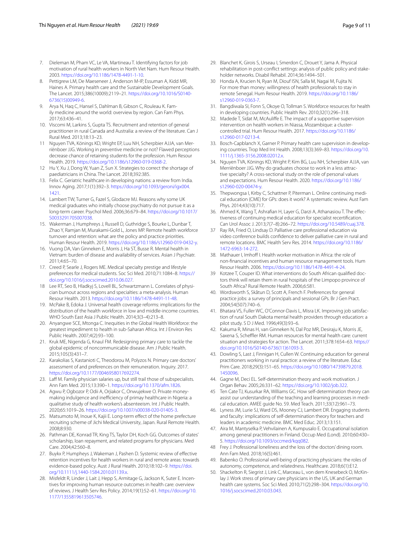- <span id="page-8-0"></span>7. Dieleman M, Pham VC, Le VA, Martineau T. Identifying factors for job motivation of rural health workers in North Viet Nam. Hum Resour Health. 2003.<https://doi.org/10.1186/1478-4491-1-10>.
- <span id="page-8-1"></span>8. Pettigrew LM, De Maeseneer J, Anderson M-IP, Essuman A, Kidd MR, Haines A. Primary health care and the Sustainable Development Goals. The Lancet. 2015;386(10009):2119–21. [https://doi.org/10.1016/S0140-](https://doi.org/10.1016/S0140-6736(15)00949-6) [6736\(15\)00949-6.](https://doi.org/10.1016/S0140-6736(15)00949-6)
- <span id="page-8-2"></span>9. Arya N, Haq C, Hansel S, Dahlman B, Gibson C, Rouleau K. Family medicine around the world: overview by region. Can Fam Phys. 2017;63:436–41.
- <span id="page-8-3"></span>10. Viscomi M, Larkins S, Gupta TS. Recruitment and retention of general practitioner in rural Canada and Australia: a review of the literature. Can J Rural Med. 2013;18:13–23.
- <span id="page-8-5"></span>11 Nguyen TVA, Könings KD, Wright EP, Luu NH, Scherpbier AJJA, van Merriënboer JJG. Working in preventive medicine or not? Flawed perceptions decrease chance of retaining students for the profession. Hum Resour Health. 2019. [https://doi.org/10.1186/s12960-019-0368-2.](https://doi.org/10.1186/s12960-019-0368-2)
- <span id="page-8-8"></span>12 Hu Y, Xu J, Dong W, Yuan Z, Sun X. Strategies to correct the shortage of paediatricians in China. The Lancet. 2018;392:385.
- <span id="page-8-4"></span>13. Felix C. Geriatric healthcare in developing nations: a review from India. Innov Aging. 2017;1(1):392–3. [https://doi.org/10.1093/geroni/igx004.](https://doi.org/10.1093/geroni/igx004.1421) [1421](https://doi.org/10.1093/geroni/igx004.1421).
- <span id="page-8-6"></span>14. Lambert TW, Turner G, Fazel S, Glodacre MJ. Reasons why some UK medical graduates who initially choose psychiatry do not pursue it as a long-term career. Psychol Med. 2006;36:679–84. [https://doi.org/10.1017/](https://doi.org/10.1017/S0033291705007038) [S0033291705007038.](https://doi.org/10.1017/S0033291705007038)
- <span id="page-8-7"></span>15. Wakerman J, Humphreys J, Russell D, Guthridge S, Bourke L, Dunbar T, Zhao Y, Ramjan M, Murakami-Gold L, Jones MP. Remote health workforce turnover and retention: what are the policy and practice priorities. Human Resour Health. 2019. <https://doi.org/10.1186/s12960-019-0432-y>.
- <span id="page-8-9"></span>16. Vuong DA, Van Ginneken E, Morris J, Ha ST, Busse R. Mental health in Vietnam: burden of disease and availability of services. Asian J Psychiatr. 2011;4:65–70.
- <span id="page-8-10"></span>17. Creed P, Searle J, Rogers ME. Medical specialty prestige and lifestyle preferences for medical students. Soc Sci Med. 2010;71:1084–8. [https://](https://doi.org/10.1016/j.socscimed.2010.06.027) [doi.org/10.1016/j.socscimed.2010.06.027.](https://doi.org/10.1016/j.socscimed.2010.06.027)
- <span id="page-8-11"></span>18 Lee RT, Seo B, Hladkyj S, Lovell BL, Schwartzmann L. Correlates of physician burnout across regions and specialties: a meta-analysis. Human Resour Health. 2013.<https://doi.org/10.1186/1478-4491-11-48>.
- <span id="page-8-12"></span>19. McPake B, Edoka J. Universal health coverage reforms: implications for the distribution of the health workforce in low and middle-income countries. WHO South East Asia J Public Health. 2014;3(3–4):213–8.
- <span id="page-8-13"></span>20. Anyangwe SCE, Mtonga C. Inequities in the Global Health Workforce: the greatest impediment to health in sub-Saharan Africa. Int J Environ Res Public Health. 2007;4(2):93–100.
- <span id="page-8-14"></span>21. Kruk ME, Nigenda G, Knaul FM. Redesigning primary care to tackle the global epidemic of noncommunicable disease. Am J Public Health. 2015;105(3):431–7.
- <span id="page-8-15"></span>22. Karakolias S, Kastanioti C, Theodorou M, Polyzos N. Primary care doctors' assessment of and preferences on their remuneration. Inquiry. 2017. <https://doi.org/10.1177/0046958017692274>.
- <span id="page-8-16"></span>23. Laff M. Family physician salaries up, but still trail those of subspecialists. Ann Fam Med. 2015;13:390–1. [https://doi.org/10.1370/afm.1826.](https://doi.org/10.1370/afm.1826)
- <span id="page-8-17"></span>24. Agwu P, Ogbozor P, Odii A, Orjiakor C, Onwujekwe O. Private moneymaking indulgence and inefficiency of primay healthcare in Nigeria: a qualitative study of health workers's absenteeism. Int J Public Health. 2020;65:1019–26. [https://doi.org/10.1007/s00038-020-01405-3.](https://doi.org/10.1007/s00038-020-01405-3)
- <span id="page-8-18"></span>25. Matsumoto M, Inoue K, Kajii E. Long-term effect of the home prefecture recruiting scheme of Jichi Medical University, Japan. Rural Remote Health. 2008;8:930.
- <span id="page-8-19"></span>26. Pathman DE, Konrad TR, King TS, Taylor DH, Koch GG. Outcomes of states' scholarship, loan repayment, and related programs for physicians. Med Care. 2004;42:560–8.
- <span id="page-8-20"></span>27. Buykx P, Humpheys J, Wakeman J, Pashen D. Systemic review of efective retention incentives for health workers in rural and remote areas: towards evidence-based policy. Aust J Rural Health. 2010;18:102–9. [https://doi.](https://doi.org/10.1111/j.1440-1584.2010.01139.x) [org/10.1111/j.1440-1584.2010.01139.x.](https://doi.org/10.1111/j.1440-1584.2010.01139.x)
- <span id="page-8-21"></span>28. Misfeldt R, Linder J, Lait J, Hepp S, Armitage G, Jackson K, Suter E. Incentives for improving human resource outcomes in health care: overview of reviews. J Health Serv Res Policy. 2014;19(1):52–61. [https://doi.org/10.](https://doi.org/10.1177/1355819613505746) [1177/1355819613505746.](https://doi.org/10.1177/1355819613505746)
- <span id="page-8-22"></span>29. Blanchet K, Girois S, Urseau I, Smerdon C, Drouet Y, Jama A. Physical rehabilitation in post-confict settings: analysis of public policy and stakeholder networks. Disabil Rehabil. 2014;36:1494–501.
- <span id="page-8-23"></span>30 Honda A, Krucien N, Ryan M, Diouf ISN, Salla M, Nagai M, Fujita N. For more than money: willingness of health professionals to stay in remote Senegal. Hum Resour Health. 2019. [https://doi.org/10.1186/](https://doi.org/10.1186/s12960-019-0363-7) [s12960-019-0363-7.](https://doi.org/10.1186/s12960-019-0363-7)
- <span id="page-8-24"></span>31. Bangdiwala SI, Fonn S, Okoye O, Tollman S. Workforce resources for health in developing countries. Public Health Rev. 2010;32(1):296–318.
- 32. Madede T, Sidat M, McAulife E. The impact of a supportive supervision intervention on health workers in Niassa, Mozambique: a clustercontrolled trial. Hum Resour Health. 2017. [https://doi.org/10.1186/](https://doi.org/10.1186/s12960-017-0213-4) [s12960-017-0213-4.](https://doi.org/10.1186/s12960-017-0213-4)
- <span id="page-8-25"></span>33. Bosch-Capblanch X, Garner P. Primary health care supervision in developing countries. Trop Med Int Health. 2008;13(3):369–83. [https://doi.org/10.](https://doi.org/10.1111/j.1365-3156.2008.02012.x) [1111/j.1365-3156.2008.02012.x](https://doi.org/10.1111/j.1365-3156.2008.02012.x).
- <span id="page-8-26"></span>34. Nguyen TVA, Könings KD, Wright P, Kim BG, Luu NH, Scherpbier AJJA, van Merriënboer JJG. Why do graduates choose to work in a less attractive specialty? A cross-sectional study on the role of personal values and expectations. Hum Resour Health. 2020. [https://doi.org/10.1186/](https://doi.org/10.1186/s12960-020-00474-y) [s12960-020-00474-y.](https://doi.org/10.1186/s12960-020-00474-y)
- <span id="page-8-31"></span>35. Thepwongsa I, Kirby C, Schattner P, Piterman L. Online continuing medical education (CME) for GPs: does it work? A systematic review. Aust Fam Phys. 2014;43(10):717.
- <span id="page-8-39"></span>36. Ahmed K, Wang T, Ashrafan H, Layer G, Darzi A, Athanasiou T. The efectiveness of continuing medical education for specialist recertifcation. Can Urol Assoc J. 2013;7(7–8):266–72. [https://doi.org/10.5489/cuaj.378.](https://doi.org/10.5489/cuaj.378)
- <span id="page-8-30"></span>37 Ray RA, Fried O, Lindsay D. Palliative care professional education via video conference builds confdence to deliver palliative care in rural and remote locations. BMC Health Serv Res. 2014. [https://doi.org/10.1186/](https://doi.org/10.1186/1472-6963-14-272) [1472-6963-14-272](https://doi.org/10.1186/1472-6963-14-272).
- 38. Mathauer I, Imhoff I. Health worker motivation in Africa: the role of non-fnancial incentives and human resource management tools. Hum Resour Health. 2006. [https://doi.org/10.1186/1478-4491-4-24.](https://doi.org/10.1186/1478-4491-4-24)
- <span id="page-8-27"></span>39 Kotzee T, Couper ID. What interventions do South African qualifed doctors think will retain them in rural hospitals of the Limpopo province of South Africa? Rural Remote Health. 2006;6:581.
- <span id="page-8-28"></span>40. Wordsworth S, Skåtun D, Scott A, French F. Preferences for general practice jobs: a survey of principals and sessional GPs. Br J Gen Pract. 2004;54(507):740–6.
- 41. Bhatara VS, Fuller WC, O'Connor-Davis L, Misra LK. Improving job satisfaction of rural South Dakota mental health providers through education: a pilot study. S D J Med. 1996;49(3):93–6.
- 42. Kakuma R, Minas H, van Ginneken N, Dal Poz MR, Desiraju K, Morris JE, Saxena S, Scheffler RM. Human resources for mental health care: current situation and strategies for action. The Lancet. 2011;378:1654–63. [https://](https://doi.org/10.1016/S0140-6736(11)61093-3) [doi.org/10.1016/S0140-6736\(11\)61093-3.](https://doi.org/10.1016/S0140-6736(11)61093-3)
- <span id="page-8-29"></span>43. Dowling S, Last J, Finnigan H, Cullen W. Continuing education for general practitioners working in rural practice: a review of the literature. Educ Prim Care. 2018;29(3):151–65. [https://doi.org/10.1080/14739879.2018.](https://doi.org/10.1080/14739879.2018.1450096) [1450096](https://doi.org/10.1080/14739879.2018.1450096).
- <span id="page-8-32"></span>44. Gagne M, Deci EL. Self-determination theory and work motivation. J Organ Behav. 2005;26:331–62. <https://doi.org/10.1002/job.322>.
- <span id="page-8-33"></span>45 Ten Cate TJ, Kusurkar RA, Williams GC. How self-determination theory can assist our understanding of the teaching and learning processes in medical education. AMEE guide No. 59. Med Teach. 2011;33(12):961–73.
- <span id="page-8-34"></span>46. Lyness JM, Lurie SJ, Ward DS, Mooney CJ, Lambert DR. Engaging students and faculty: implications of self-determination theory for teachers and leaders in academic medicine. BMC Med Educ. 2013;13:151.
- <span id="page-8-35"></span>47. Aira M, Mantyselka P, Vehvilainen A, Kumpusalo E. Occupational isolation among general practitioners in Finland. Occup Med (Lond). 2010;60:430– 5. [https://doi.org/10.1093/occmed/kqq082.](https://doi.org/10.1093/occmed/kqq082)
- <span id="page-8-37"></span>48 Frey J. Professional loneliness and the loss of the doctors' dining room. Ann Fam Med. 2018;16(5):461.
- <span id="page-8-36"></span>49. Babenko O. Professional well-being of practicing physicians: the roles of autonomy, competence, and relatedness. Healthcare. 2018;6(1):E12.
- <span id="page-8-38"></span>50. Shackelton R, Siegrist J, Link C, Marceau L, von dem Knesebeck O, McKinlay J. Work stress of primary care physicians in the US, UK and German health care systems. Soc Sci Med. 2010;71(2):298–304. [https://doi.org/10.](https://doi.org/10.1016/j.socscimed.2010.03.043) [1016/j.socscimed.2010.03.043](https://doi.org/10.1016/j.socscimed.2010.03.043).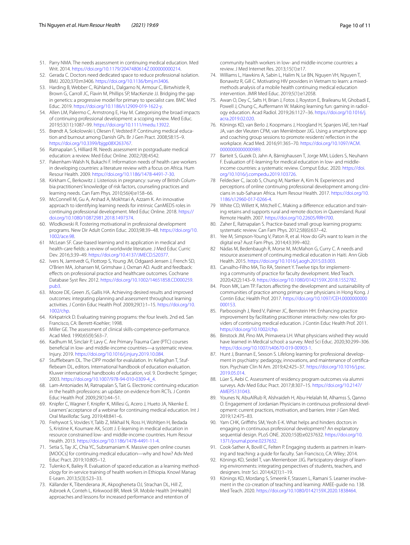- <span id="page-9-0"></span>51. Parry NMA. The needs assessment in continuing medical education. Med Writ. 2014.<https://doi.org/10.1179/2047480614Z.000000000214>.
- <span id="page-9-1"></span>52. Gerada C. Doctors need dedicated space to reduce professional isolation. BMJ. 2020;370:m3406. <https://doi.org/10.1136/bmj.m3406>.
- <span id="page-9-2"></span>53. Harding B, Webber C, Rühland L, Dalgarno N, Armour C, Birtwhistle R, Brown G, Carroll JC, Flavin M, Phillips SP, MacKenzie JJ. Bridging the gap in genetics: a progressive model for primary to specialist care. BMC Med Educ. 2019.<https://doi.org/10.1186/s12909-019-1622-y>.
- <span id="page-9-3"></span>54. Allen LM, Palermo C, Armstrong E, Hay M. Categorising the broad impacts of continuing professional development: a scoping review. Med Educ. 2019;53(11):1087–99.<https://doi.org/10.1111/medu.13922>.
- <span id="page-9-4"></span>55. Brøndt A, Sokolowski I, Olesen F, Vedsted P. Continuing medical education and burnout among Danish GPs. Br J Gen Pract. 2008;58:15–9. [https://doi.org/10.3399/bjgp08X263767.](https://doi.org/10.3399/bjgp08X263767)
- <span id="page-9-5"></span>56 Ratnapalan S, Hilliard RI. Needs assessment in postgraduate medical education: a review. Med Educ Online. 2002;7(8):4542.
- <span id="page-9-6"></span>57. Pakenham-Walsh N, Bukachi F. Information needs of health care workers in developing countries: a literature review with a focus on Africa. Hum Resour Health. 2009. [https://doi.org/10.1186/1478-4491-7-30.](https://doi.org/10.1186/1478-4491-7-30)
- <span id="page-9-7"></span>58. Kirkham C, Berkowitz J. Listeriosis in pregnancy: survey of British Columbia practitioners' knowledge of risk factors, counseling practices and learning needs. Can Fam Phys. 2010;56(4):e158–66.
- <span id="page-9-8"></span>59. McConnell M, Gu A, Arshad A, Mokhtari A, Azzam K. An innovative approach to identifying learning needs for intrinsic CanMEDS roles in continuing professional development. Med Educ Online. 2018. [https://](https://doi.org/10.1080/10872981.2018.1497374) [doi.org/10.1080/10872981.2018.1497374.](https://doi.org/10.1080/10872981.2018.1497374)
- <span id="page-9-9"></span>60. Wlodkowski R. Fostering motivational in professional development programs. New Dir Adult Contin Educ. 2003;98:39–48. [https://doi.org/10.](https://doi.org/10.1002/ace.98) [1002/ace.98.](https://doi.org/10.1002/ace.98)
- <span id="page-9-10"></span>61 McLean SF. Case-based learning and its application in medical and health-care felds: a review of worldwide literature. J Med Educ Curric Dev. 2016;3:39–49. <https://doi.org/10.4137/JMECD.S20377>.
- <span id="page-9-11"></span>62. Ivers N, Jamtvedt G, Flottorp S, Young JM, Odgaard-Jensen J, French SD, O'Brien MA, Johansen M, Grimshaw J, Oxman AD. Audit and feedback: efects on professional practice and healthcare outcomes. Cochrane Database Syst Rev. 2012. [https://doi.org/10.1002/14651858.CD000259.](https://doi.org/10.1002/14651858.CD000259.pub3) [pub3.](https://doi.org/10.1002/14651858.CD000259.pub3)
- <span id="page-9-12"></span>63. Moore DE, Green JS, Gallis HA. Achieving desired results and improved outcomes: integrating planning and assessment throughout learning activities. J Contin Educ Health Prof. 2009;29(1):1–15. [https://doi.org/10.](https://doi.org/10.1002/chp) [1002/chp](https://doi.org/10.1002/chp).
- <span id="page-9-13"></span>64. Kirkpatrick D. Evaluating training programs: the four levels. 2nd ed. San Francisco, CA: Berrett-Koehler; 1998.
- <span id="page-9-14"></span>65 Miller GE. The assessment of clinical skills-competence-performance. Acad Med. 1990;65(9):S63–7.
- <span id="page-9-15"></span>66. Kadhum M, Sinclair P, Lavy C. Are Primary Trauma Care (PTC) courses benefcial in low- and middle-income countries—a systematic review. Injury. 2019.<https://doi.org/10.1016/j.injury.2019.10.084>.
- <span id="page-9-16"></span>67 Stufflebeam DL. The CIPP model for evalulation. In: Kellaghan T, Stuffebeam DL, editors. International handbook of education evaluation. Kluwer international handbooks of education, vol. 9. Dordrecht: Spinger; 2003. [https://doi.org/10.1007/978-94-010-0309-4\\_4](https://doi.org/10.1007/978-94-010-0309-4_4).
- <span id="page-9-17"></span>68. Lam-Antoniades M, Ratnapalan S, Tait G. Electronic continuing education in the health professions: an update on evidence from RCTs. J Contin Educ Health Prof. 2009;29(1):44–51.
- <span id="page-9-18"></span>69. Knipfer C, Wagner F, Knipfer K, Millesi G, Acero J, Hueto JA, Nkenke E. Learners' acceptance of a webinar for continuing medical education. Int J Oral Maxillofac Surg. 2019;48:841–6.
- <span id="page-9-19"></span>70. Frehywot S, Vovides Y, Talib Z, Mikhail N, Ross H, Wohltjen H, Bedada S, Kristine K, Koumare AK, Scott J. E-learning in medical education in resource constrained low- and middle-income countries. Hum Resour Health. 2013. [https://doi.org/10.1186/1478-4491-11-4.](https://doi.org/10.1186/1478-4491-11-4)
- <span id="page-9-42"></span>71. Setia S, Tay JC, Chia YC, Subramaniam K. Massive open online courses [MOOCs] for continuing medical education—why and how? Adv Med Educ Pract. 2019;10:805–12.
- <span id="page-9-20"></span>72. Tulenko K, Bailey R. Evaluation of spaced education as a learning methodology for in-service training of health workers in Ethiopia. Knowl Manag E-Learn. 2013;5(3):523–33.
- <span id="page-9-21"></span>73. Källander K, Tibenderana JK, Akpogheneta OJ, Strachan DL, Hill Z, Asbroek A, Conteh L, Kirkwood BR, Meek SR. Mobile Health [mHealth] approaches and lessons for increased performance and retention of

community health workers in low- and middle-income countries: a review. J Med Internet Res. 2013;15(1):e17.

- <span id="page-9-22"></span>74. Williams L, Hawkins A, Sabin L, Halim N, Le BN, Nguyen VH, Nguyen T, Bonawitz R, Gill C. Motivating HIV providers in Vietnam to learn: a mixedmethods analysis of a mobile health continuing medical education intervention. JMIR Med Educ. 2019;5(1):e12058.
- <span id="page-9-23"></span>75. Awan O, Dey C, Salts H, Brian J, Fotos J, Royston E, Braileanu M, Ghobadi E, Powell J, Chung C, Auffermann W. Making learning fun: gaming in radiology education. Acad Radiol. 2019;26:1127–36. [https://doi.org/10.1016/j.](https://doi.org/10.1016/j.acra.2019.02.020) [acra.2019.02.020.](https://doi.org/10.1016/j.acra.2019.02.020)
- <span id="page-9-24"></span>76. Könings KD, van Berlo J, Koopmans J, Hoogland H, Spanjers IAE, ten Haaf JA, van der Vleuten CPM, van Merriënboer JJG. Using a smartphone app and coaching group sessions to promote residents' refection in the workplace. Acad Med. 2016;91:365–70. [https://doi.org/10.1097/ACM.](https://doi.org/10.1097/ACM.0000000000000989) [0000000000000989](https://doi.org/10.1097/ACM.0000000000000989).
- <span id="page-9-25"></span>77 Barteit S, Guzek D, Jahn A, Bärnighausen T, Jorge MM, Lüders S, Neuhann F. Evaluation of E-learning for medical education in low- and middleincome countries: a systematic review. Comput Educ. 2020. [https://doi.](https://doi.org/10.1016/j.compedu.2019.103726) [org/10.1016/j.compedu.2019.103726.](https://doi.org/10.1016/j.compedu.2019.103726)
- <span id="page-9-26"></span>78 Feldecker C, Jacob S, Chung M, Nartker A, Kim N. Experiences and perceptions of online continuing professional development among clinicians in sub-Saharan Africa. Hum Resour Health. 2017. [https://doi.org/10.](https://doi.org/10.1186/s12960-017-0266-4) [1186/s12960-017-0266-4](https://doi.org/10.1186/s12960-017-0266-4).
- <span id="page-9-27"></span>79 White CD, Willett K, Mitchell C. Making a diference: education and training retains and supports rural and remote doctors in Queensland. Rural Remote Health. 2007. https://doi.org/10.22605/RRH700
- <span id="page-9-28"></span>80. Zaher E, Ratnapalan S. Practice-based small group learning programs: systematic review. Can Fam Phys. 2012;58(6):637–42.
- <span id="page-9-29"></span>81. Yee M, Simpson-Young V, Paton R, et al. How do GPs want to learn in the digital era? Aust Fam Phys. 2014;43:399–402.
- <span id="page-9-30"></span>82 Nádas M, Bedenbaugh R, Morse M, McMahon G, Curry C. A needs and resource assessment of continuing medical education in Haiti. Ann Glob Health. 2015. [https://doi.org/10.1016/j.aogh.2015.03.003.](https://doi.org/10.1016/j.aogh.2015.03.003)
- <span id="page-9-31"></span>83. Carvalho-Filho MA, Tio RA, Steinert Y. Twelve tips for implementing a community of practice for faculty development. Med Teach. 2020;42(2):143–9. [https://doi.org/10.1080/0142159X.2018.1552782.](https://doi.org/10.1080/0142159X.2018.1552782)
- <span id="page-9-32"></span>84. Poon MK, Lam TP. Factors afecting the development and sustainability of communities of practice among primary care physicians in Hong Kong. J Contin Educ Health Prof. 2017. [https://doi.org/10.1097/CEH.0000000000](https://doi.org/10.1097/CEH.0000000000000153) [000153.](https://doi.org/10.1097/CEH.0000000000000153)
- <span id="page-9-33"></span>85. Parboosingh J, Reed V, Palmer JC, Bernstein HH. Enhancing practice improvement by facilitating practitioner interactivity: new roles for providers of continuing medical education. J Contin Educ Health Prof. 2011. [https://doi.org/10.1002/chp.](https://doi.org/10.1002/chp)
- <span id="page-9-34"></span>86. Binstock JM, Pino MA, Primavera LH. What physicians wished they would have learned in Medical school: a survey. Med Sci Educ. 2020;30:299–306. <https://doi.org/10.1007/s40670-019-00903-1>.
- <span id="page-9-35"></span>87. Hunt J, Brannan E, Sexson S. Lifelong learning for professional development in psychiatry: pedagogy, innovations, and maintenance of certifcation. Psychiatr Clin N Am. 2019;42:425–37. [https://doi.org/10.1016/j.psc.](https://doi.org/10.1016/j.psc.2019.05.014) [2019.05.014](https://doi.org/10.1016/j.psc.2019.05.014).
- <span id="page-9-36"></span>88. Lüer S, Aebi C. Assessment of residency program outcomes via alumni surveys. Adv Med Educ Pract. 2017;8:307–15. [https://doi.org/10.2147/](https://doi.org/10.2147/AMEP.S131043) AMFPS131043
- <span id="page-9-37"></span>89. Younes N, AbuAlRub R, Alshraideh H, Abu-Helalah M, Alhamss S, Qanno O. Engagement of Jordanian Physicians in continuous professional development: current practices, motivation, and barriers. Inter J Gen Med. 2019;12:475–83.
- <span id="page-9-38"></span>90. Yam CHK, Grifths SM, Yeoh E-K. What helps and hinders doctors in engaging in continuous professional development? An explanatory sequential design. PLoS ONE. 2020;15(8):e0237632. [https://doi.org/10.](https://doi.org/10.1371/journal.pone.0237632) [1371/journal.pone.0237632.](https://doi.org/10.1371/journal.pone.0237632)
- <span id="page-9-39"></span>91. Cook-Sather A, Bovill C, Felten P. Engaging students as partners in learning and teaching: a guide for faculty. San Francisco, CA: Wiley; 2014.
- <span id="page-9-40"></span>92. Könings KD, Seidel T, van Merrienboer JJG. Participatory design of learning environments: integrating perspectives of students, teachers, and designers. Instr Sci. 2014;42(1):1–19.
- <span id="page-9-41"></span>93 Könings KD, Mordang S, Smeenk F, Stassen L, Ramani S. Learner involvement in the co-creation of teaching and learning: AMEE-guide no. 138. Med Teach. 2020. <https://doi.org/10.1080/0142159X.2020.1838464>.